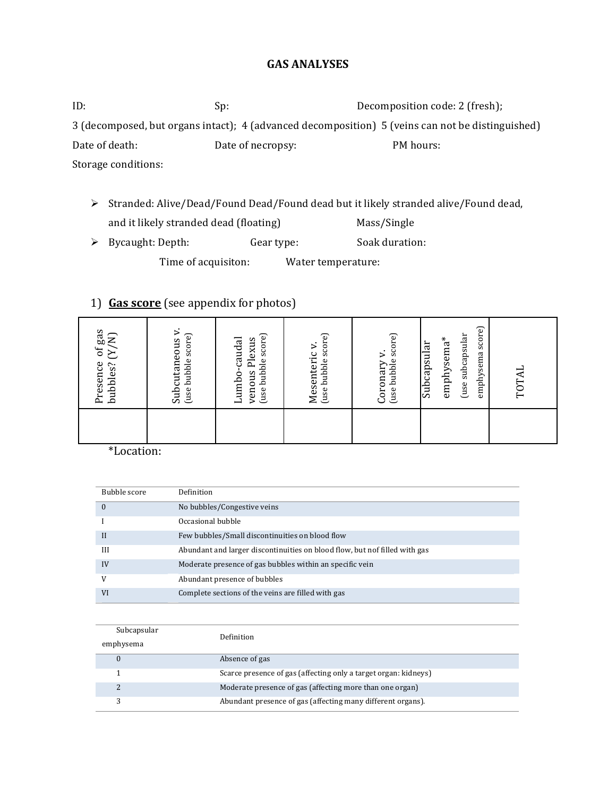#### **GAS ANALYSES**

ID: Sp: Sp: Sp: Decomposition code: 2 (fresh); 3 (decomposed, but organs intact); 4 (advanced decomposition) 5 (veins can not be distinguished) Date of death: Date of necropsy: PM hours: Storage conditions:

- $\triangleright$  Stranded: Alive/Dead/Found Dead/Found dead but it likely stranded alive/Found dead, and it likely stranded dead (floating) **In the Soute Mass/Single**
- > Bycaught: Depth: Gear type: Soak duration:

Time of acquisiton: Water temperature:

## 1) **Gas score** (see appendix for photos)

| gas<br>(Y/N)<br>$\sigma$ f<br>bubbles?<br>Presence                                       |
|------------------------------------------------------------------------------------------|
| ⊳.<br>(use bubble score)<br>Subcutaneous                                                 |
| (use bubble score)<br>umbo-caudal<br>Plexus<br>venous                                    |
| (use bubble score)<br>Mesenteric v.                                                      |
| (use bubble score)<br>⊳.<br>Coronary                                                     |
| score)<br>use subcapsular)<br>$\mathrm{empty}\mathrm{ema}^*$<br>Subcapsular<br>emphysema |
| TOTA                                                                                     |

\*Location:

| Bubble score | Definition                                                                 |
|--------------|----------------------------------------------------------------------------|
| $\Omega$     | No bubbles/Congestive veins                                                |
|              | Occasional bubble                                                          |
| $\mathbf{I}$ | Few bubbles/Small discontinuities on blood flow                            |
| III          | Abundant and larger discontinuities on blood flow, but nof filled with gas |
| IV           | Moderate presence of gas bubbles within an specific vein                   |
| V            | Abundant presence of bubbles                                               |
| <b>VI</b>    | Complete sections of the veins are filled with gas                         |

| Subcapsular | Definition                                                      |
|-------------|-----------------------------------------------------------------|
| emphysema   |                                                                 |
|             | Absence of gas                                                  |
|             | Scarce presence of gas (affecting only a target organ: kidneys) |
|             | Moderate presence of gas (affecting more than one organ)        |
| っ           | Abundant presence of gas (affecting many different organs).     |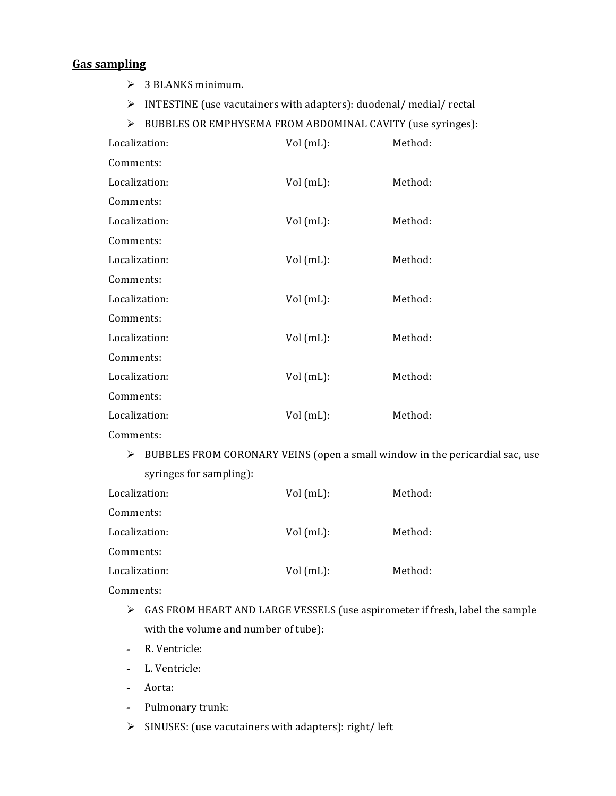### **Gas sampling**

- $\geq$  3 BLANKS minimum.
- $\triangleright$  INTESTINE (use vacutainers with adapters): duodenal/ medial/ rectal
- $\triangleright$  BUBBLES OR EMPHYSEMA FROM ABDOMINAL CAVITY (use syringes):

| Localization: | Vol (mL):   | Method: |
|---------------|-------------|---------|
| Comments:     |             |         |
| Localization: | Vol (mL):   | Method: |
| Comments:     |             |         |
| Localization: | Vol(mL):    | Method: |
| Comments:     |             |         |
| Localization: | Vol (mL):   | Method: |
| Comments:     |             |         |
| Localization: | Vol (mL):   | Method: |
| Comments:     |             |         |
| Localization: | $Vol(mL)$ : | Method: |
| Comments:     |             |         |
| Localization: | $Vol(mL)$ : | Method: |
| Comments:     |             |         |
| Localization: | Vol (mL):   | Method: |
|               |             |         |

- Comments:
	- $\triangleright$  BUBBLES FROM CORONARY VEINS (open a small window in the pericardial sac, use syringes for sampling):

| Localization: | Vol(mL): | Method: |
|---------------|----------|---------|
| Comments:     |          |         |
| Localization: | Vol(mL): | Method: |
| Comments:     |          |         |
| Localization: | Vol(mL): | Method: |
|               |          |         |

Comments:

- $\triangleright$  GAS FROM HEART AND LARGE VESSELS (use aspirometer if fresh, label the sample with the volume and number of tube):
- *-* R.!Ventricle:
- *-* L.!Ventricle:
- *-* Aorta:
- **-** Pulmonary trunk:
- $\triangleright$  SINUSES: (use vacutainers with adapters): right/ left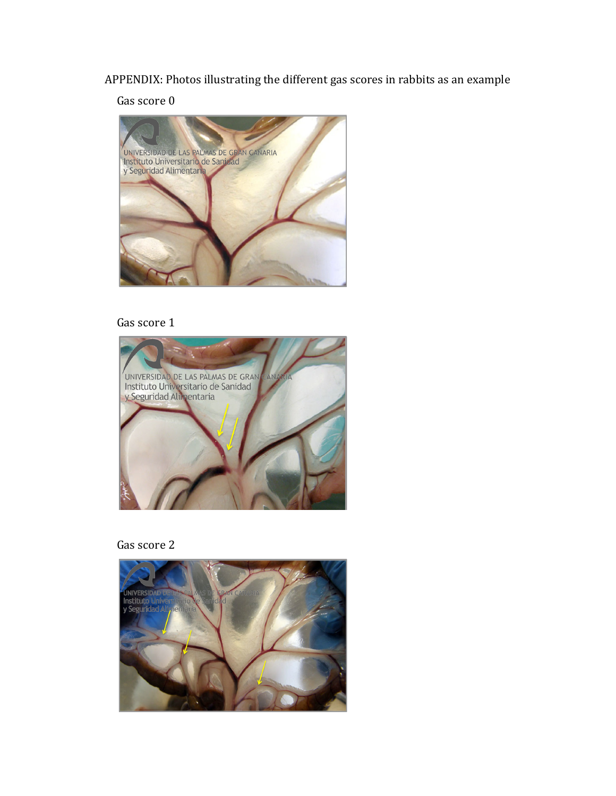APPENDIX: Photos illustrating the different gas scores in rabbits as an example

Gas score 0



### Gas score 1





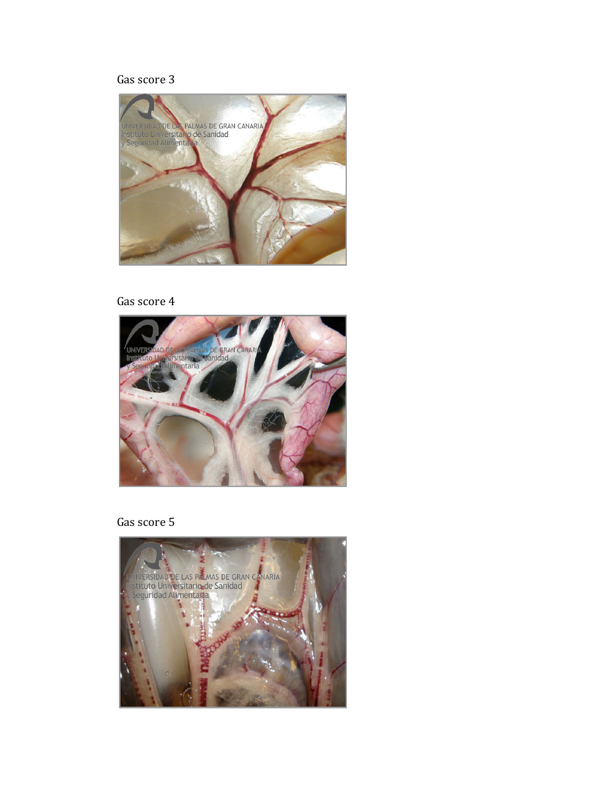# Gas score 3



### Gas score 4



Gas score 5